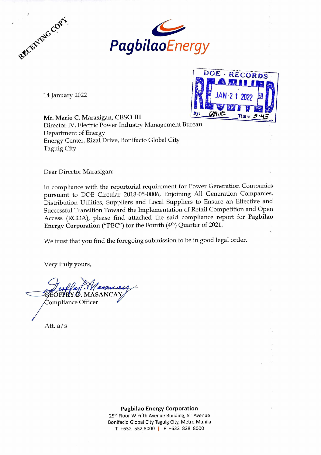



14 January 2022



Mr. Mario C. Marasigan, CESO Director IV, Electric Power Industry Management Bureau Department of Energy Energy Center, Rizal Drive, Bonifacio Global City Taguig City

Dear Director Marasigan:

In compliance with the reportorial requirement for Power Generation Companies pursuant to DOE Circular 2013-05-0006, Enjoining All Generation Companies, Distribution Utilities, Suppliers and Local Suppliers to Ensure an Effective and Successful Transition Toward the Implementation of Retail Competition and Open Access (RCOA), please find attached the said compliance report for Pagbilao Energy Corporation ("PEC") for the Fourth (4th) Quarter of 2021.

We trust that you find the foregoing submission to be in good legal order.

Very truly yours,

*<sup>j</sup>***Ai,/**  ■**<sup>1</sup>** *11111W, oF* ' *.MASANCA/ Y* ompliance Officer

Att. a/s

## **Pagbilao Energy Corporation**

25<sup>th</sup> Floor W Fifth Avenue Building, 5<sup>th</sup> Avenue Bonifacio Global City Taguig City, Metro Manila T +632 552 8000 | F +632 828 8000